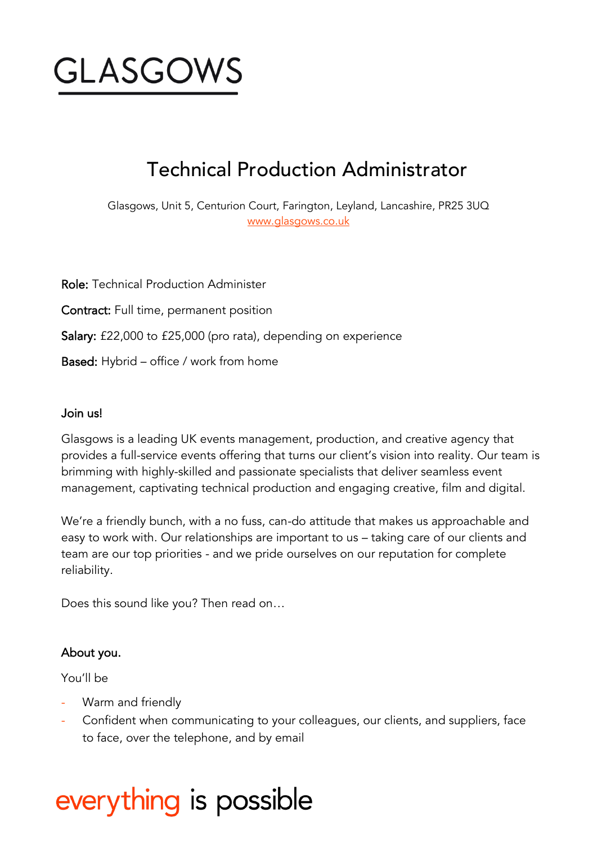

## Technical Production Administrator

Glasgows, Unit 5, Centurion Court, Farington, Leyland, Lancashire, PR25 3UQ [www.glasgows.co.uk](http://www.glasgows.co.uk/)

Role: Technical Production Administer Contract: Full time, permanent position Salary: £22,000 to £25,000 (pro rata), depending on experience Based: Hybrid – office / work from home

#### Join us!

Glasgows is a leading UK events management, production, and creative agency that provides a full-service events offering that turns our client's vision into reality. Our team is brimming with highly-skilled and passionate specialists that deliver seamless event management, captivating technical production and engaging creative, film and digital.

We're a friendly bunch, with a no fuss, can-do attitude that makes us approachable and easy to work with. Our relationships are important to us – taking care of our clients and team are our top priorities - and we pride ourselves on our reputation for complete reliability.

Does this sound like you? Then read on…

#### About you.

You'll be

- Warm and friendly
- Confident when communicating to your colleagues, our clients, and suppliers, face to face, over the telephone, and by email

# everything is possible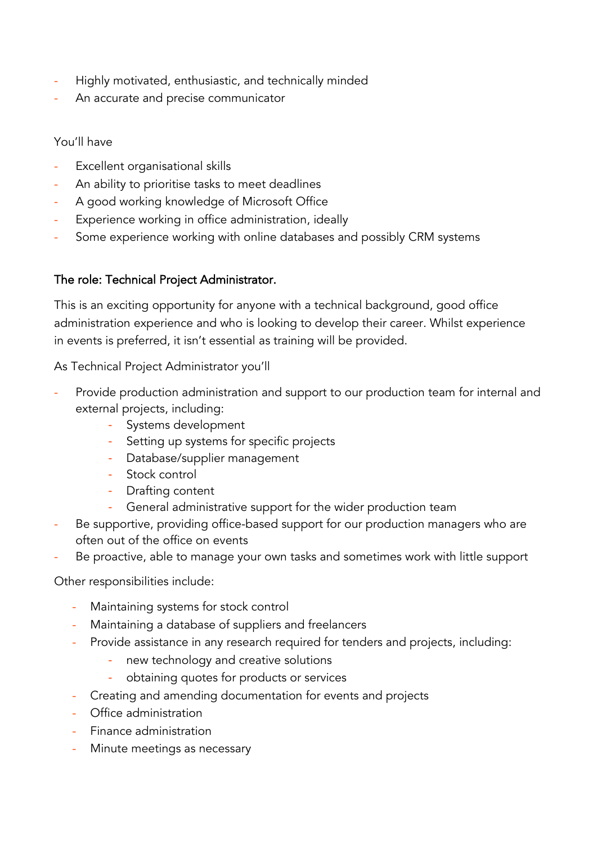- Highly motivated, enthusiastic, and technically minded
- An accurate and precise communicator

You'll have

- Excellent organisational skills
- An ability to prioritise tasks to meet deadlines
- A good working knowledge of Microsoft Office
- Experience working in office administration, ideally
- Some experience working with online databases and possibly CRM systems

#### The role: Technical Project Administrator.

This is an exciting opportunity for anyone with a technical background, good office administration experience and who is looking to develop their career. Whilst experience in events is preferred, it isn't essential as training will be provided.

As Technical Project Administrator you'll

- Provide production administration and support to our production team for internal and external projects, including:
	- Systems development
	- Setting up systems for specific projects
	- Database/supplier management
	- Stock control
	- Drafting content
	- General administrative support for the wider production team
- Be supportive, providing office-based support for our production managers who are often out of the office on events
- Be proactive, able to manage your own tasks and sometimes work with little support

Other responsibilities include:

- Maintaining systems for stock control
- Maintaining a database of suppliers and freelancers
- Provide assistance in any research required for tenders and projects, including:
	- new technology and creative solutions
	- obtaining quotes for products or services
- Creating and amending documentation for events and projects
- Office administration
- Finance administration
- Minute meetings as necessary